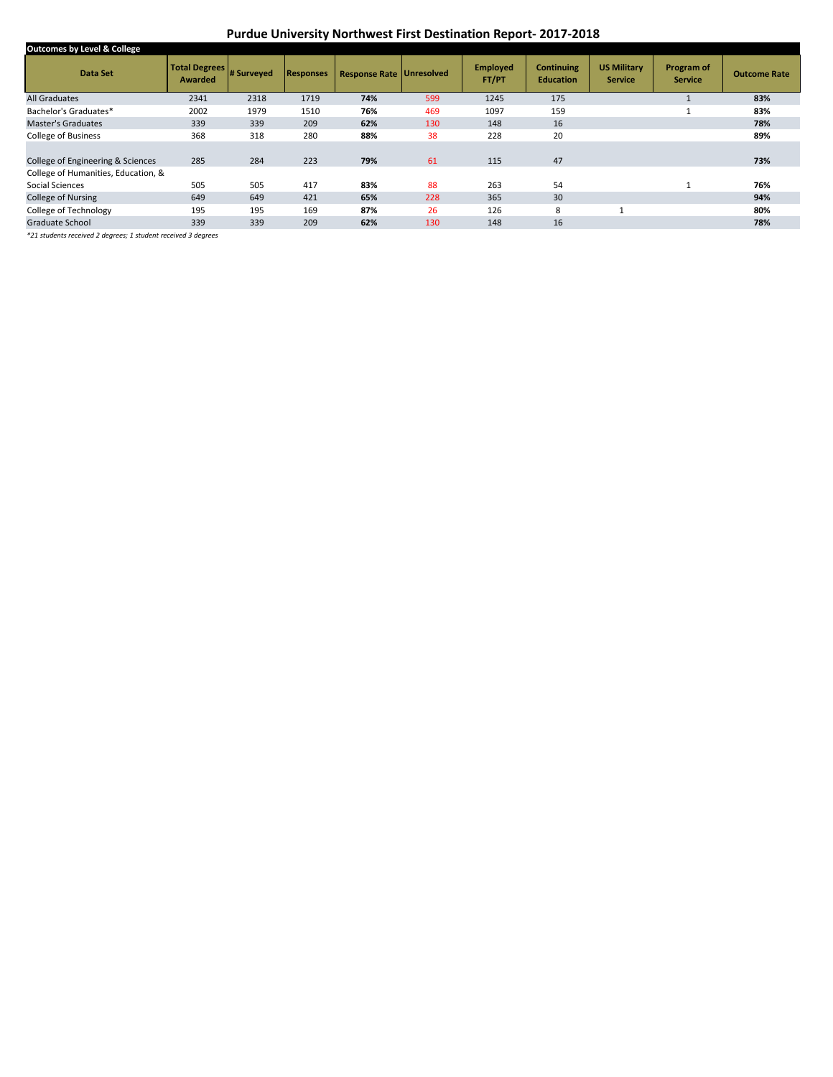## **Purdue University Northwest First Destination Report- 2017-2018**

| <b>Outcomes by Level &amp; College</b> |                                       |      |                  |                                 |     |                          |                                       |                                      |                              |                     |
|----------------------------------------|---------------------------------------|------|------------------|---------------------------------|-----|--------------------------|---------------------------------------|--------------------------------------|------------------------------|---------------------|
| Data Set                               | 1 Total Degrees # Surveyed<br>Awarded |      | <b>Responses</b> | <b>Response Rate Unresolved</b> |     | <b>Employed</b><br>FT/PT | <b>Continuing</b><br><b>Education</b> | <b>US Military</b><br><b>Service</b> | Program of<br><b>Service</b> | <b>Outcome Rate</b> |
| All Graduates                          | 2341                                  | 2318 | 1719             | 74%                             | 599 | 1245                     | 175                                   |                                      |                              | 83%                 |
| Bachelor's Graduates*                  | 2002                                  | 1979 | 1510             | 76%                             | 469 | 1097                     | 159                                   |                                      |                              | 83%                 |
| <b>Master's Graduates</b>              | 339                                   | 339  | 209              | 62%                             | 130 | 148                      | 16                                    |                                      |                              | 78%                 |
| <b>College of Business</b>             | 368                                   | 318  | 280              | 88%                             | 38  | 228                      | 20                                    |                                      |                              | 89%                 |
|                                        |                                       |      |                  |                                 |     |                          |                                       |                                      |                              |                     |
| College of Engineering & Sciences      | 285                                   | 284  | 223              | 79%                             | 61  | 115                      | 47                                    |                                      |                              | 73%                 |
| College of Humanities, Education, &    |                                       |      |                  |                                 |     |                          |                                       |                                      |                              |                     |
| Social Sciences                        | 505                                   | 505  | 417              | 83%                             | 88  | 263                      | 54                                    |                                      |                              | 76%                 |
| <b>College of Nursing</b>              | 649                                   | 649  | 421              | 65%                             | 228 | 365                      | 30                                    |                                      |                              | 94%                 |
| College of Technology                  | 195                                   | 195  | 169              | 87%                             | 26  | 126                      | 8                                     |                                      |                              | 80%                 |
| <b>Graduate School</b>                 | 339                                   | 339  | 209              | 62%                             | 130 | 148                      | 16                                    |                                      |                              | 78%                 |
|                                        |                                       |      |                  |                                 |     |                          |                                       |                                      |                              |                     |

*\*21 students received 2 degrees; 1 student received 3 degrees*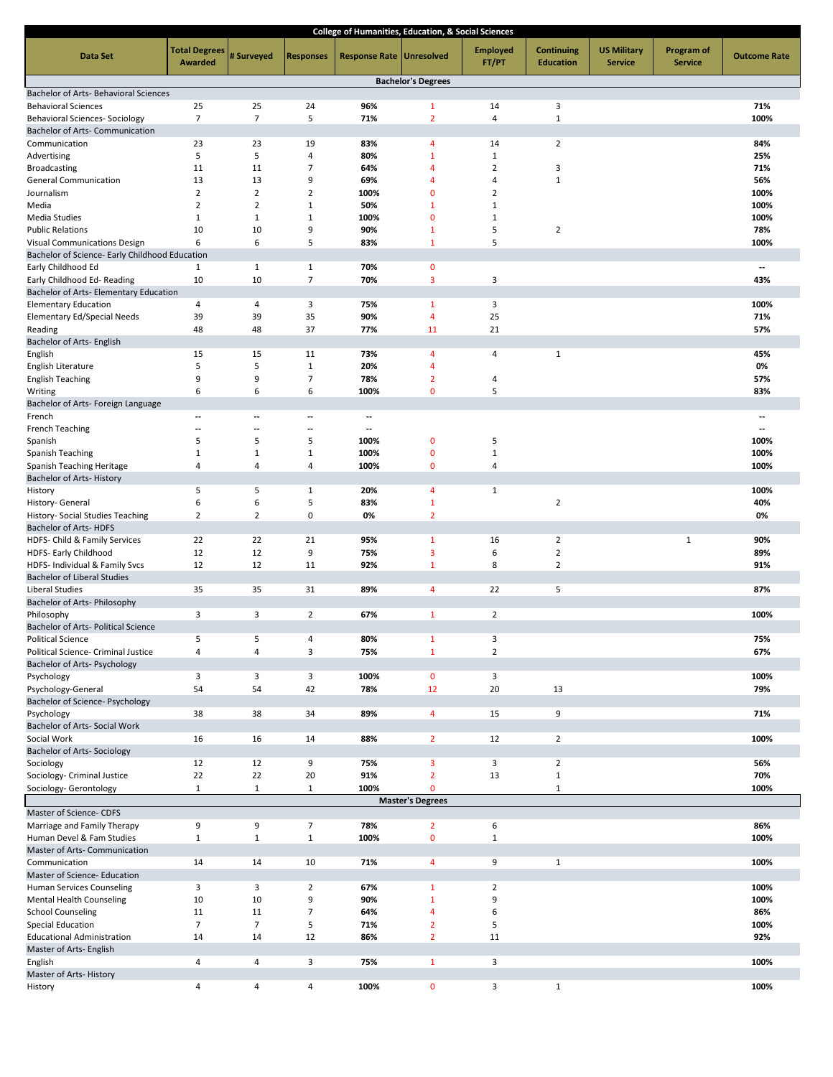|                                                          |                                        |                          |                          | <b>College of Humanities, Education, &amp; Social Sciences</b> |                                  |                          |                                       |                                      |                              |                          |  |  |
|----------------------------------------------------------|----------------------------------------|--------------------------|--------------------------|----------------------------------------------------------------|----------------------------------|--------------------------|---------------------------------------|--------------------------------------|------------------------------|--------------------------|--|--|
| Data Set                                                 | <b>Total Degrees</b><br><b>Awarded</b> | # Surveyed               | <b>Responses</b>         | <b>Response Rate Unresolved</b>                                |                                  | <b>Employed</b><br>FT/PT | <b>Continuing</b><br><b>Education</b> | <b>US Military</b><br><b>Service</b> | Program of<br><b>Service</b> | <b>Outcome Rate</b>      |  |  |
|                                                          |                                        |                          |                          |                                                                | <b>Bachelor's Degrees</b>        |                          |                                       |                                      |                              |                          |  |  |
| Bachelor of Arts- Behavioral Sciences                    |                                        |                          |                          |                                                                |                                  |                          |                                       |                                      |                              |                          |  |  |
| <b>Behavioral Sciences</b>                               | 25                                     | 25                       | 24                       | 96%                                                            | $\mathbf{1}$                     | 14                       | 3                                     |                                      |                              | 71%                      |  |  |
| Behavioral Sciences- Sociology                           | $\overline{7}$                         | $\overline{7}$           | 5                        | 71%                                                            | $\overline{2}$                   | $\overline{4}$           | $\mathbf{1}$                          |                                      |                              | 100%                     |  |  |
| Bachelor of Arts- Communication<br>Communication         | 23                                     | 23                       | 19                       | 83%                                                            | $\overline{4}$                   | 14                       | $\overline{2}$                        |                                      |                              | 84%                      |  |  |
| Advertising                                              | 5                                      | 5                        | $\overline{4}$           | 80%                                                            | $\mathbf{1}$                     | $\mathbf{1}$             |                                       |                                      |                              | 25%                      |  |  |
| <b>Broadcasting</b>                                      | 11                                     | 11                       | $\overline{7}$           | 64%                                                            | $\overline{4}$                   | $\overline{2}$           | 3                                     |                                      |                              | 71%                      |  |  |
| <b>General Communication</b>                             | 13                                     | 13                       | 9                        | 69%                                                            | $\overline{4}$                   | 4                        | $\mathbf 1$                           |                                      |                              | 56%                      |  |  |
| Journalism                                               | $\overline{2}$                         | $\overline{2}$           | $\overline{2}$           | 100%                                                           | $\mathbf 0$                      | $\overline{2}$           |                                       |                                      |                              | 100%                     |  |  |
| Media                                                    | $\overline{2}$                         | $\overline{2}$           | $\mathbf{1}$             | 50%                                                            | $\mathbf{1}$                     | $\mathbf{1}$             |                                       |                                      |                              | 100%                     |  |  |
| <b>Media Studies</b>                                     | 1                                      | $\mathbf{1}$             | $1\,$                    | 100%                                                           | $\overline{0}$                   | $\mathbf{1}$             |                                       |                                      |                              | 100%                     |  |  |
| <b>Public Relations</b><br>Visual Communications Design  | 10<br>6                                | 10<br>6                  | 9<br>5                   | 90%<br>83%                                                     | $\mathbf{1}$<br>$\mathbf{1}$     | 5<br>5                   | $\overline{2}$                        |                                      |                              | 78%<br>100%              |  |  |
| Bachelor of Science- Early Childhood Education           |                                        |                          |                          |                                                                |                                  |                          |                                       |                                      |                              |                          |  |  |
| Early Childhood Ed                                       | 1                                      | 1                        | $\mathbf{1}$             | 70%                                                            | $\mathbf 0$                      |                          |                                       |                                      |                              | --                       |  |  |
| Early Childhood Ed-Reading                               | 10                                     | 10                       | $\overline{7}$           | 70%                                                            | 3                                | 3                        |                                       |                                      |                              | 43%                      |  |  |
| Bachelor of Arts- Elementary Education                   |                                        |                          |                          |                                                                |                                  |                          |                                       |                                      |                              |                          |  |  |
| <b>Elementary Education</b>                              | 4                                      | 4                        | 3                        | 75%                                                            | $\mathbf{1}$                     | 3                        |                                       |                                      |                              | 100%                     |  |  |
| Elementary Ed/Special Needs                              | 39                                     | 39                       | 35                       | 90%                                                            | $\overline{4}$                   | 25                       |                                       |                                      |                              | 71%                      |  |  |
| Reading                                                  | 48                                     | 48                       | 37                       | 77%                                                            | 11                               | 21                       |                                       |                                      |                              | 57%                      |  |  |
| Bachelor of Arts- English                                |                                        |                          |                          |                                                                |                                  |                          |                                       |                                      |                              |                          |  |  |
| English                                                  | 15<br>5                                | 15<br>5                  | 11<br>$\mathbf{1}$       | 73%<br>20%                                                     | $\overline{4}$<br>$\overline{4}$ | 4                        | $\mathbf{1}$                          |                                      |                              | 45%                      |  |  |
| English Literature<br><b>English Teaching</b>            | 9                                      | 9                        | $\overline{7}$           | 78%                                                            | $\overline{2}$                   | 4                        |                                       |                                      |                              | 0%<br>57%                |  |  |
| Writing                                                  | 6                                      | 6                        | 6                        | 100%                                                           | $\mathbf{0}$                     | 5                        |                                       |                                      |                              | 83%                      |  |  |
| Bachelor of Arts- Foreign Language                       |                                        |                          |                          |                                                                |                                  |                          |                                       |                                      |                              |                          |  |  |
| French                                                   | $\overline{a}$                         | $\overline{\phantom{a}}$ | $\overline{\phantom{a}}$ | --                                                             |                                  |                          |                                       |                                      |                              | $\overline{a}$           |  |  |
| French Teaching                                          | --                                     | $\overline{a}$           | $\overline{a}$           | --                                                             |                                  |                          |                                       |                                      |                              | $\overline{\phantom{a}}$ |  |  |
| Spanish                                                  | 5                                      | 5                        | 5                        | 100%                                                           | $\mathbf 0$                      | 5                        |                                       |                                      |                              | 100%                     |  |  |
| Spanish Teaching                                         | $1\,$                                  | $\mathbf{1}$             | $1\,$                    | 100%                                                           | $\mathbf 0$                      | $\mathbf{1}$             |                                       |                                      |                              | 100%                     |  |  |
| Spanish Teaching Heritage                                | 4                                      | 4                        | $\overline{4}$           | 100%                                                           | $\mathbf 0$                      | $\overline{4}$           |                                       |                                      |                              | 100%                     |  |  |
| Bachelor of Arts-History                                 |                                        |                          |                          |                                                                |                                  |                          |                                       |                                      |                              |                          |  |  |
| History                                                  | 5<br>6                                 | 5<br>6                   | $\mathbf{1}$<br>5        | 20%<br>83%                                                     | $\overline{4}$<br>$\mathbf{1}$   | 1                        | $\overline{2}$                        |                                      |                              | 100%<br>40%              |  |  |
| History- General<br>History- Social Studies Teaching     | $\overline{2}$                         | $\overline{2}$           | 0                        | 0%                                                             | $\overline{2}$                   |                          |                                       |                                      |                              | 0%                       |  |  |
| Bachelor of Arts-HDFS                                    |                                        |                          |                          |                                                                |                                  |                          |                                       |                                      |                              |                          |  |  |
| HDFS- Child & Family Services                            | 22                                     | 22                       | 21                       | 95%                                                            | $\mathbf{1}$                     | 16                       | $\overline{2}$                        |                                      | $\mathbf{1}$                 | 90%                      |  |  |
| HDFS- Early Childhood                                    | 12                                     | 12                       | 9                        | 75%                                                            | 3                                | 6                        | $\overline{2}$                        |                                      |                              | 89%                      |  |  |
| HDFS- Individual & Family Svcs                           | 12                                     | 12                       | 11                       | 92%                                                            | $\mathbf{1}$                     | 8                        | $\overline{2}$                        |                                      |                              | 91%                      |  |  |
| <b>Bachelor of Liberal Studies</b>                       |                                        |                          |                          |                                                                |                                  |                          |                                       |                                      |                              |                          |  |  |
| Liberal Studies                                          | 35                                     | 35                       | 31                       | 89%                                                            | 4                                | 22                       | 5                                     |                                      |                              | 87%                      |  |  |
| Bachelor of Arts- Philosophy                             | 3                                      | 3                        | $\overline{2}$           |                                                                |                                  | $\overline{2}$           |                                       |                                      |                              |                          |  |  |
| Philosophy<br><b>Bachelor of Arts- Political Science</b> |                                        |                          |                          | 67%                                                            | $\mathbf{1}$                     |                          |                                       |                                      |                              | 100%                     |  |  |
| <b>Political Science</b>                                 | 5                                      | 5                        | 4                        | 80%                                                            | 1                                | 3                        |                                       |                                      |                              | 75%                      |  |  |
| Political Science- Criminal Justice                      | 4                                      | 4                        | 3                        | 75%                                                            | $\mathbf 1$                      | $\overline{2}$           |                                       |                                      |                              | 67%                      |  |  |
| Bachelor of Arts- Psychology                             |                                        |                          |                          |                                                                |                                  |                          |                                       |                                      |                              |                          |  |  |
| Psychology                                               | 3                                      | 3                        | 3                        | 100%                                                           | $\pmb{0}$                        | 3                        |                                       |                                      |                              | 100%                     |  |  |
| Psychology-General                                       | 54                                     | 54                       | 42                       | 78%                                                            | 12                               | 20                       | 13                                    |                                      |                              | 79%                      |  |  |
| Bachelor of Science- Psychology                          |                                        |                          |                          |                                                                |                                  |                          |                                       |                                      |                              |                          |  |  |
| Psychology                                               | 38                                     | 38                       | 34                       | 89%                                                            | $\overline{4}$                   | 15                       | 9                                     |                                      |                              | 71%                      |  |  |
| Bachelor of Arts- Social Work<br>Social Work             | 16                                     | 16                       | 14                       | 88%                                                            | $\overline{2}$                   | 12                       | $\overline{2}$                        |                                      |                              | 100%                     |  |  |
| <b>Bachelor of Arts- Sociology</b>                       |                                        |                          |                          |                                                                |                                  |                          |                                       |                                      |                              |                          |  |  |
| Sociology                                                | 12                                     | 12                       | 9                        | 75%                                                            | 3                                | 3                        | $\overline{2}$                        |                                      |                              | 56%                      |  |  |
| Sociology- Criminal Justice                              | 22                                     | 22                       | 20                       | 91%                                                            | $\overline{2}$                   | 13                       | $\mathbf{1}$                          |                                      |                              | 70%                      |  |  |
| Sociology- Gerontology                                   | $\mathbf 1$                            | $\mathbf{1}$             | $\mathbf{1}$             | 100%                                                           | $\mathbf 0$                      |                          | $1\,$                                 |                                      |                              | 100%                     |  |  |
|                                                          |                                        |                          |                          |                                                                | <b>Master's Degrees</b>          |                          |                                       |                                      |                              |                          |  |  |
| Master of Science- CDFS                                  |                                        |                          |                          |                                                                |                                  |                          |                                       |                                      |                              |                          |  |  |
| Marriage and Family Therapy                              | 9                                      | 9                        | $\overline{7}$           | 78%                                                            | $\overline{2}$                   | 6                        |                                       |                                      |                              | 86%                      |  |  |
| Human Devel & Fam Studies                                | $\mathbf 1$                            | $\mathbf{1}$             | $\mathbf 1$              | 100%                                                           | $\pmb{0}$                        | $\mathbf 1$              |                                       |                                      |                              | 100%                     |  |  |
| Master of Arts- Communication                            |                                        | 14                       | 10                       | 71%                                                            | $\overline{4}$                   | 9                        | $\mathbf{1}$                          |                                      |                              | 100%                     |  |  |
| Communication<br>Master of Science- Education            | 14                                     |                          |                          |                                                                |                                  |                          |                                       |                                      |                              |                          |  |  |
| Human Services Counseling                                | 3                                      | 3                        | $\overline{2}$           | 67%                                                            | $\mathbf{1}$                     | $\overline{2}$           |                                       |                                      |                              | 100%                     |  |  |
| <b>Mental Health Counseling</b>                          | 10                                     | $10\,$                   | 9                        | 90%                                                            | $\mathbf{1}$                     | 9                        |                                       |                                      |                              | 100%                     |  |  |
| <b>School Counseling</b>                                 | 11                                     | 11                       | $\overline{7}$           | 64%                                                            | $\overline{4}$                   | 6                        |                                       |                                      |                              | 86%                      |  |  |
| <b>Special Education</b>                                 | $\overline{7}$                         | $\overline{7}$           | 5                        | 71%                                                            | $\overline{2}$                   | 5                        |                                       |                                      |                              | 100%                     |  |  |
| <b>Educational Administration</b>                        | 14                                     | 14                       | 12                       | 86%                                                            | $\overline{2}$                   | 11                       |                                       |                                      |                              | 92%                      |  |  |
| Master of Arts- English                                  |                                        |                          |                          |                                                                |                                  |                          |                                       |                                      |                              |                          |  |  |
| English                                                  | 4                                      | 4                        | 3                        | 75%                                                            | $\mathbf{1}$                     | 3                        |                                       |                                      |                              | 100%                     |  |  |
| Master of Arts-History                                   |                                        |                          |                          |                                                                |                                  |                          |                                       |                                      |                              |                          |  |  |
| History                                                  | 4                                      | 4                        | 4                        | 100%                                                           | $\mathbf 0$                      | 3                        | $\mathbf{1}$                          |                                      |                              | 100%                     |  |  |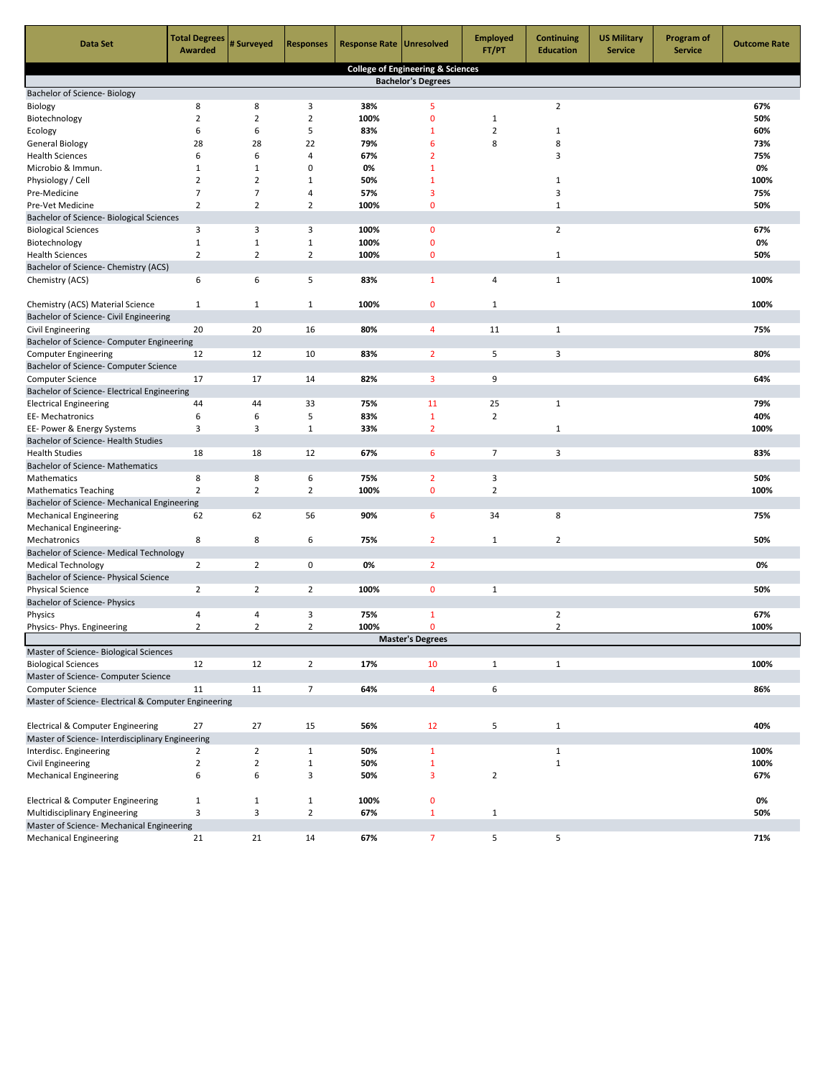| Data Set                                             | <b>Total Degrees</b><br><b>Awarded</b> | # Surveyed     | <b>Responses</b> | <b>Response Rate</b> | <b>Unresolved</b>                            | <b>Employed</b><br>FT/PT | <b>Continuing</b><br><b>Education</b> | <b>US Military</b><br><b>Service</b> | Program of<br><b>Service</b> | <b>Outcome Rate</b> |
|------------------------------------------------------|----------------------------------------|----------------|------------------|----------------------|----------------------------------------------|--------------------------|---------------------------------------|--------------------------------------|------------------------------|---------------------|
|                                                      |                                        |                |                  |                      | <b>College of Engineering &amp; Sciences</b> |                          |                                       |                                      |                              |                     |
| <b>Bachelor's Degrees</b>                            |                                        |                |                  |                      |                                              |                          |                                       |                                      |                              |                     |
| <b>Bachelor of Science- Biology</b>                  |                                        |                |                  |                      |                                              |                          |                                       |                                      |                              |                     |
| Biology                                              | 8                                      | 8              | 3                | 38%                  | 5                                            |                          | $\overline{2}$                        |                                      |                              | 67%                 |
| Biotechnology                                        | $\overline{2}$                         | $\overline{2}$ | $\overline{2}$   | 100%                 | $\mathbf 0$                                  | $\mathbf{1}$             |                                       |                                      |                              | 50%                 |
| Ecology                                              | 6                                      | 6              | 5                | 83%                  | $\mathbf{1}$                                 | $\overline{2}$           | $\mathbf{1}$                          |                                      |                              | 60%                 |
| <b>General Biology</b>                               | 28                                     | 28             | 22               | 79%                  | 6                                            | 8                        | 8                                     |                                      |                              | 73%                 |
| <b>Health Sciences</b>                               | 6                                      | 6              | $\overline{4}$   | 67%                  | $\overline{2}$                               |                          | 3                                     |                                      |                              | 75%                 |
| Microbio & Immun.                                    | 1                                      | $\mathbf{1}$   | 0                | 0%                   | $\mathbf{1}$                                 |                          |                                       |                                      |                              | 0%                  |
| Physiology / Cell                                    | $\overline{2}$                         | $\overline{2}$ | $\mathbf{1}$     | 50%                  | $\mathbf{1}$                                 |                          | 1                                     |                                      |                              | 100%                |
| Pre-Medicine                                         | 7                                      | $\overline{7}$ | $\overline{4}$   | 57%                  | 3                                            |                          | 3                                     |                                      |                              | 75%                 |
| Pre-Vet Medicine                                     | 2                                      | $\overline{2}$ | $\overline{2}$   | 100%                 | $\mathbf 0$                                  |                          | $\mathbf{1}$                          |                                      |                              | 50%                 |
| Bachelor of Science- Biological Sciences             |                                        |                |                  |                      |                                              |                          |                                       |                                      |                              |                     |
| <b>Biological Sciences</b>                           | 3                                      | 3              | 3                | 100%                 | $\mathbf 0$                                  |                          | $\overline{2}$                        |                                      |                              | 67%                 |
| Biotechnology                                        | $\mathbf{1}$                           | $\mathbf{1}$   | $\mathbf 1$      | 100%                 | $\mathbf 0$                                  |                          |                                       |                                      |                              | 0%                  |
| <b>Health Sciences</b>                               | $\overline{2}$                         | $\overline{2}$ | $\overline{2}$   | 100%                 | $\mathbf 0$                                  |                          | $\mathbf{1}$                          |                                      |                              | 50%                 |
| Bachelor of Science- Chemistry (ACS)                 |                                        |                |                  |                      |                                              |                          |                                       |                                      |                              |                     |
| Chemistry (ACS)                                      | 6                                      | 6              | 5                | 83%                  | $\mathbf{1}$                                 | $\overline{4}$           | $1\,$                                 |                                      |                              | 100%                |
| Chemistry (ACS) Material Science                     | 1                                      | $\mathbf{1}$   | $\mathbf{1}$     | 100%                 | $\mathbf 0$                                  | $\mathbf{1}$             |                                       |                                      |                              | 100%                |
| Bachelor of Science- Civil Engineering               |                                        |                |                  |                      |                                              |                          |                                       |                                      |                              |                     |
| Civil Engineering                                    | 20                                     | 20             | 16               | 80%                  | 4                                            | 11                       | $\mathbf{1}$                          |                                      |                              | 75%                 |
| Bachelor of Science- Computer Engineering            |                                        |                |                  |                      |                                              |                          |                                       |                                      |                              |                     |
| <b>Computer Engineering</b>                          | 12                                     | 12             | 10               | 83%                  | $\overline{2}$                               | 5                        | 3                                     |                                      |                              | 80%                 |
| Bachelor of Science- Computer Science                |                                        |                |                  |                      |                                              |                          |                                       |                                      |                              |                     |
| <b>Computer Science</b>                              | 17                                     | 17             | 14               | 82%                  | 3                                            | 9                        |                                       |                                      |                              | 64%                 |
| Bachelor of Science- Electrical Engineering          |                                        |                |                  |                      |                                              |                          |                                       |                                      |                              |                     |
| <b>Electrical Engineering</b>                        | 44                                     | 44             | 33               | 75%                  | 11                                           | 25                       | $\mathbf{1}$                          |                                      |                              | 79%                 |
| EE-Mechatronics                                      | 6                                      | 6              | 5                | 83%                  | $\mathbf{1}$                                 | $\overline{2}$           |                                       |                                      |                              | 40%                 |
| EE- Power & Energy Systems                           | 3                                      | 3              | $\mathbf{1}$     | 33%                  | $\overline{2}$                               |                          | 1                                     |                                      |                              | 100%                |
| Bachelor of Science- Health Studies                  |                                        |                |                  |                      |                                              |                          |                                       |                                      |                              |                     |
| <b>Health Studies</b>                                | 18                                     | 18             | 12               | 67%                  | 6                                            | $\overline{7}$           | 3                                     |                                      |                              | 83%                 |
| <b>Bachelor of Science- Mathematics</b>              |                                        |                |                  |                      |                                              |                          |                                       |                                      |                              |                     |
| Mathematics                                          | 8                                      | 8              | 6                | 75%                  | $\overline{2}$                               | 3                        |                                       |                                      |                              | 50%                 |
| <b>Mathematics Teaching</b>                          | 2                                      | $\overline{2}$ | $\overline{2}$   | 100%                 | $\mathbf 0$                                  | $\overline{2}$           |                                       |                                      |                              | 100%                |
| Bachelor of Science- Mechanical Engineering          |                                        |                |                  |                      |                                              |                          |                                       |                                      |                              |                     |
| <b>Mechanical Engineering</b>                        | 62                                     | 62             | 56               | 90%                  | 6                                            | 34                       | 8                                     |                                      |                              | 75%                 |
| Mechanical Engineering-                              |                                        |                |                  |                      |                                              |                          |                                       |                                      |                              |                     |
| Mechatronics                                         | 8                                      | 8              | 6                | 75%                  | $\overline{2}$                               | $\mathbf{1}$             | $\overline{2}$                        |                                      |                              | 50%                 |
| Bachelor of Science- Medical Technology              |                                        |                |                  |                      |                                              |                          |                                       |                                      |                              |                     |
| <b>Medical Technology</b>                            | 2                                      | $\overline{2}$ | 0                | 0%                   | $\overline{2}$                               |                          |                                       |                                      |                              | 0%                  |
| Bachelor of Science- Physical Science                |                                        |                |                  |                      |                                              |                          |                                       |                                      |                              |                     |
| <b>Physical Science</b>                              | $\overline{2}$                         | $\overline{2}$ | $\overline{2}$   | 100%                 | $\mathbf 0$                                  | $\mathbf 1$              |                                       |                                      |                              | 50%                 |
| Bachelor of Science- Physics                         |                                        |                |                  |                      |                                              |                          |                                       |                                      |                              |                     |
| Physics                                              | 4                                      | 4              | 3                | 75%                  | $\mathbf{1}$                                 |                          | $\overline{2}$                        |                                      |                              | 67%                 |
| Physics- Phys. Engineering                           | $\overline{2}$                         | $\overline{2}$ | $\overline{2}$   | 100%                 | $\mathbf{0}$                                 |                          | $\overline{2}$                        |                                      |                              | 100%                |
|                                                      |                                        |                |                  |                      | <b>Master's Degrees</b>                      |                          |                                       |                                      |                              |                     |
| Master of Science- Biological Sciences               |                                        |                |                  |                      |                                              |                          |                                       |                                      |                              |                     |
| <b>Biological Sciences</b>                           | 12                                     | 12             | $\overline{2}$   | 17%                  | 10                                           | $\mathbf{1}$             | $\mathbf{1}$                          |                                      |                              | 100%                |
| Master of Science- Computer Science                  |                                        |                |                  |                      |                                              |                          |                                       |                                      |                              |                     |
| <b>Computer Science</b>                              | 11                                     | 11             | $\overline{7}$   | 64%                  | $\overline{4}$                               | 6                        |                                       |                                      |                              | 86%                 |
| Master of Science- Electrical & Computer Engineering |                                        |                |                  |                      |                                              |                          |                                       |                                      |                              |                     |
|                                                      |                                        |                |                  |                      |                                              |                          |                                       |                                      |                              |                     |
| Electrical & Computer Engineering                    | 27                                     | 27             | 15               | 56%                  | 12                                           | 5                        | $\mathbf{1}$                          |                                      |                              | 40%                 |
| Master of Science- Interdisciplinary Engineering     |                                        |                |                  |                      |                                              |                          |                                       |                                      |                              |                     |
| Interdisc. Engineering                               | 2                                      | $\overline{2}$ | $\mathbf{1}$     | 50%                  | $\mathbf{1}$                                 |                          | $\mathbf{1}$                          |                                      |                              | 100%                |
| Civil Engineering                                    | $\overline{2}$                         | $\overline{2}$ | $\mathbf 1$      | 50%                  | $\mathbf{1}$                                 |                          | $\mathbf{1}$                          |                                      |                              | 100%                |
| <b>Mechanical Engineering</b>                        | 6                                      | 6              | 3                | 50%                  | $\overline{3}$                               | $\overline{2}$           |                                       |                                      |                              | 67%                 |
|                                                      |                                        |                |                  |                      |                                              |                          |                                       |                                      |                              |                     |
| Electrical & Computer Engineering                    | $\mathbf 1$                            | $1\,$          | $\mathbf 1$      | 100%                 | $\bf{0}$                                     |                          |                                       |                                      |                              | 0%                  |
| Multidisciplinary Engineering                        | 3                                      | 3              | $\overline{2}$   | 67%                  | $\mathbf{1}$                                 | $\mathbf{1}$             |                                       |                                      |                              | 50%                 |
| Master of Science- Mechanical Engineering            |                                        |                |                  |                      |                                              |                          |                                       |                                      |                              |                     |
| <b>Mechanical Engineering</b>                        | 21                                     | 21             | 14               | 67%                  | $\overline{7}$                               | 5                        | 5                                     |                                      |                              | 71%                 |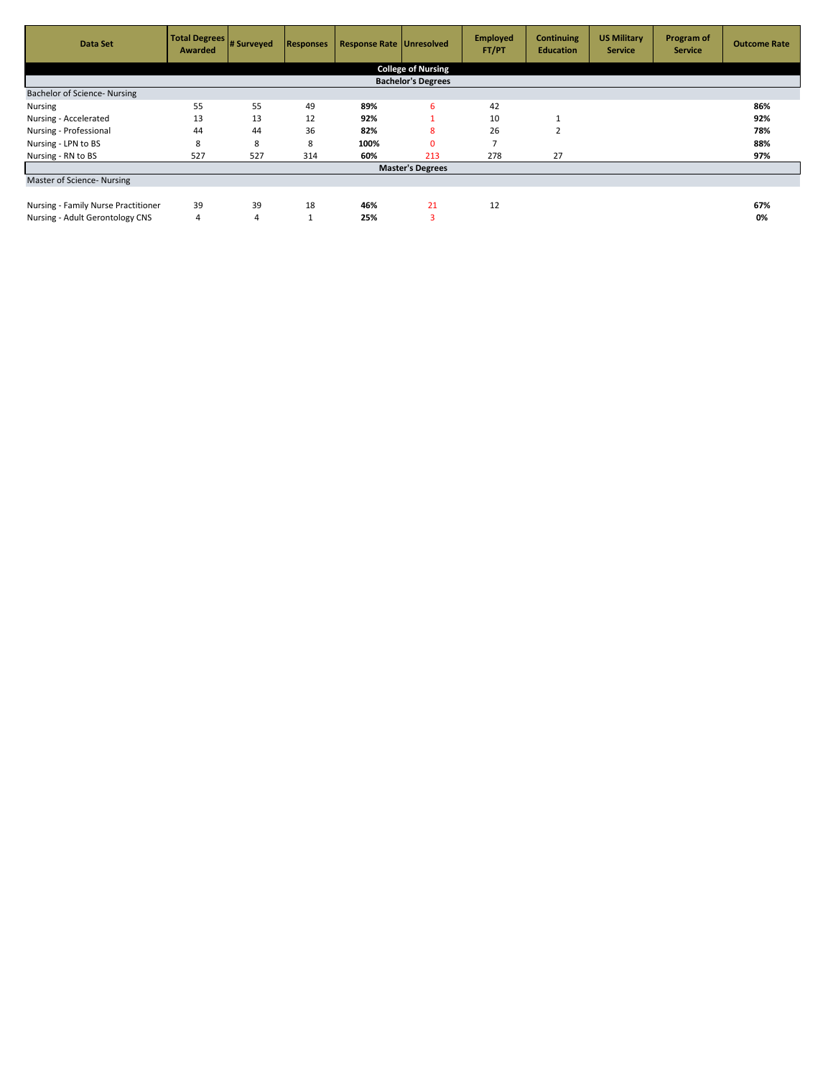| <b>Data Set</b>                     | Total Degrees # Surveyed<br><b>Awarded</b> |                | <b>Responses</b> | Response Rate Unresolved |          | <b>Employed</b><br>FT/PT | <b>Continuing</b><br><b>Education</b> | <b>US Military</b><br><b>Service</b> | Program of<br><b>Service</b> | <b>Outcome Rate</b> |  |
|-------------------------------------|--------------------------------------------|----------------|------------------|--------------------------|----------|--------------------------|---------------------------------------|--------------------------------------|------------------------------|---------------------|--|
| <b>College of Nursing</b>           |                                            |                |                  |                          |          |                          |                                       |                                      |                              |                     |  |
| <b>Bachelor's Degrees</b>           |                                            |                |                  |                          |          |                          |                                       |                                      |                              |                     |  |
| Bachelor of Science- Nursing        |                                            |                |                  |                          |          |                          |                                       |                                      |                              |                     |  |
| Nursing                             | 55                                         | 55             | 49               | 89%                      | 6        | 42                       |                                       |                                      |                              | 86%                 |  |
| Nursing - Accelerated               | 13                                         | 13             | 12               | 92%                      |          | 10                       |                                       |                                      |                              | 92%                 |  |
| Nursing - Professional              | 44                                         | 44             | 36               | 82%                      | 8        | 26                       |                                       |                                      |                              | 78%                 |  |
| Nursing - LPN to BS                 | 8                                          | 8              | 8                | 100%                     | $\Omega$ |                          |                                       |                                      |                              | 88%                 |  |
| Nursing - RN to BS                  | 527                                        | 527            | 314              | 60%                      | 213      | 278                      | 27                                    |                                      |                              | 97%                 |  |
| <b>Master's Degrees</b>             |                                            |                |                  |                          |          |                          |                                       |                                      |                              |                     |  |
| Master of Science- Nursing          |                                            |                |                  |                          |          |                          |                                       |                                      |                              |                     |  |
|                                     |                                            |                |                  |                          |          |                          |                                       |                                      |                              |                     |  |
| Nursing - Family Nurse Practitioner | 39                                         | 39             | 18               | 46%                      | 21       | 12                       |                                       |                                      |                              | 67%                 |  |
| Nursing - Adult Gerontology CNS     | 4                                          | $\overline{4}$ |                  | 25%                      | 3        |                          |                                       |                                      |                              | 0%                  |  |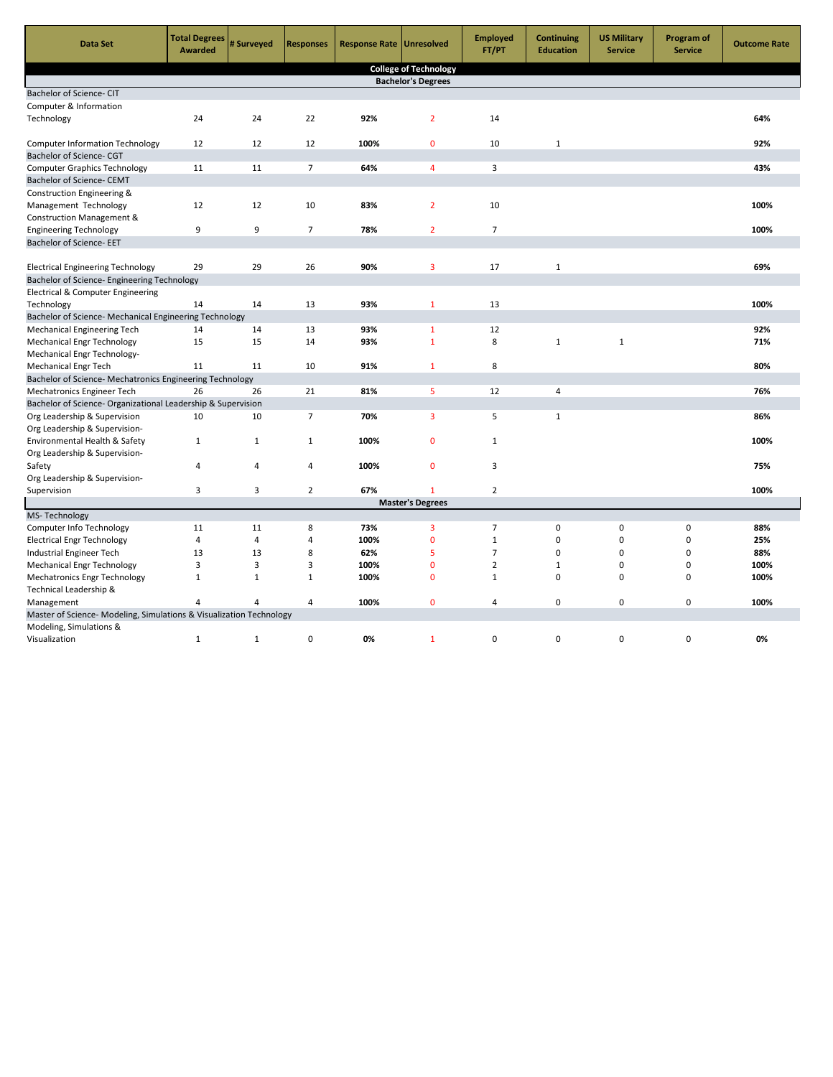| Data Set                                                            | <b>Total Degrees</b><br><b>Awarded</b>      | # Surveyed   | <b>Responses</b> | <b>Response Rate</b> | <b>Unresolved</b>       | <b>Employed</b><br>FT/PT | <b>Continuing</b><br><b>Education</b> | <b>US Military</b><br><b>Service</b> | Program of<br><b>Service</b> | <b>Outcome Rate</b> |  |  |
|---------------------------------------------------------------------|---------------------------------------------|--------------|------------------|----------------------|-------------------------|--------------------------|---------------------------------------|--------------------------------------|------------------------------|---------------------|--|--|
| <b>College of Technology</b>                                        |                                             |              |                  |                      |                         |                          |                                       |                                      |                              |                     |  |  |
| <b>Bachelor's Degrees</b>                                           |                                             |              |                  |                      |                         |                          |                                       |                                      |                              |                     |  |  |
| Bachelor of Science- CIT                                            |                                             |              |                  |                      |                         |                          |                                       |                                      |                              |                     |  |  |
| Computer & Information                                              |                                             |              |                  |                      |                         |                          |                                       |                                      |                              |                     |  |  |
| Technology                                                          | 24                                          | 24           | 22               | 92%                  | $\overline{2}$          | 14                       |                                       |                                      |                              | 64%                 |  |  |
| <b>Computer Information Technology</b><br>Bachelor of Science- CGT  | 12                                          | 12           | 12               | 100%                 | $\mathbf 0$             | 10                       | $\mathbf{1}$                          |                                      |                              | 92%                 |  |  |
| <b>Computer Graphics Technology</b>                                 | 11                                          | 11           | $\overline{7}$   | 64%                  | $\overline{4}$          | 3                        |                                       |                                      |                              | 43%                 |  |  |
| Bachelor of Science- CEMT                                           |                                             |              |                  |                      |                         |                          |                                       |                                      |                              |                     |  |  |
| Construction Engineering &                                          |                                             |              |                  |                      |                         |                          |                                       |                                      |                              |                     |  |  |
| Management Technology                                               | 12                                          | 12           | 10               | 83%                  | $\overline{2}$          | 10                       |                                       |                                      |                              | 100%                |  |  |
| Construction Management &                                           |                                             |              |                  |                      |                         |                          |                                       |                                      |                              |                     |  |  |
| <b>Engineering Technology</b>                                       | 9                                           | 9            | $\overline{7}$   | 78%                  | $\overline{2}$          | $\overline{7}$           |                                       |                                      |                              | 100%                |  |  |
| Bachelor of Science- EET                                            |                                             |              |                  |                      |                         |                          |                                       |                                      |                              |                     |  |  |
|                                                                     |                                             |              |                  |                      |                         |                          |                                       |                                      |                              |                     |  |  |
| <b>Electrical Engineering Technology</b>                            | 29                                          | 29           | 26               | 90%                  | 3                       | 17                       | $\mathbf{1}$                          |                                      |                              | 69%                 |  |  |
|                                                                     | Bachelor of Science- Engineering Technology |              |                  |                      |                         |                          |                                       |                                      |                              |                     |  |  |
| Electrical & Computer Engineering                                   |                                             |              |                  |                      |                         |                          |                                       |                                      |                              |                     |  |  |
| Technology                                                          | 14                                          | 14           | 13               | 93%                  | $\mathbf{1}$            | 13                       |                                       |                                      |                              | 100%                |  |  |
| Bachelor of Science- Mechanical Engineering Technology              |                                             |              |                  |                      |                         |                          |                                       |                                      |                              |                     |  |  |
| <b>Mechanical Engineering Tech</b>                                  | 14                                          | 14           | 13               | 93%                  | $\mathbf{1}$            | 12                       |                                       |                                      |                              | 92%                 |  |  |
| <b>Mechanical Engr Technology</b>                                   | 15                                          | 15           | 14               | 93%                  | $\mathbf{1}$            | 8                        | $\mathbf{1}$                          | $1\,$                                |                              | 71%                 |  |  |
| Mechanical Engr Technology-                                         |                                             |              |                  |                      |                         |                          |                                       |                                      |                              |                     |  |  |
| <b>Mechanical Engr Tech</b>                                         | 11                                          | 11           | 10               | 91%                  | $\mathbf{1}$            | 8                        |                                       |                                      |                              | 80%                 |  |  |
| Bachelor of Science- Mechatronics Engineering Technology            |                                             |              |                  |                      |                         |                          |                                       |                                      |                              |                     |  |  |
| Mechatronics Engineer Tech                                          | 26                                          | 26           | 21               | 81%                  | 5                       | 12                       | $\overline{4}$                        |                                      |                              | 76%                 |  |  |
| Bachelor of Science- Organizational Leadership & Supervision        |                                             |              |                  |                      |                         |                          |                                       |                                      |                              |                     |  |  |
| Org Leadership & Supervision<br>Org Leadership & Supervision-       | 10                                          | 10           | $\overline{7}$   | 70%                  | $\overline{3}$          | 5                        | $\mathbf{1}$                          |                                      |                              | 86%                 |  |  |
| Environmental Health & Safety                                       | 1                                           | $\mathbf{1}$ | $\mathbf{1}$     | 100%                 | $\mathbf{0}$            | $\mathbf{1}$             |                                       |                                      |                              | 100%                |  |  |
| Org Leadership & Supervision-                                       |                                             |              |                  |                      |                         |                          |                                       |                                      |                              |                     |  |  |
| Safety                                                              | $\overline{4}$                              | 4            | $\overline{4}$   | 100%                 | $\mathbf{0}$            | 3                        |                                       |                                      |                              | 75%                 |  |  |
| Org Leadership & Supervision-                                       |                                             |              |                  |                      |                         |                          |                                       |                                      |                              |                     |  |  |
| Supervision                                                         | 3                                           | 3            | $\overline{2}$   | 67%                  | $\mathbf{1}$            | $\overline{2}$           |                                       |                                      |                              | 100%                |  |  |
|                                                                     |                                             |              |                  |                      | <b>Master's Degrees</b> |                          |                                       |                                      |                              |                     |  |  |
| MS-Technology                                                       |                                             |              |                  |                      |                         |                          |                                       |                                      |                              |                     |  |  |
| Computer Info Technology                                            | 11                                          | 11           | 8                | 73%                  | 3                       | $\overline{7}$           | 0                                     | $\mathsf 0$                          | $\mathsf 0$                  | 88%                 |  |  |
| <b>Electrical Engr Technology</b>                                   | $\overline{4}$                              | 4            | $\overline{4}$   | 100%                 | $\mathbf{0}$            | $\mathbf{1}$             | 0                                     | $\Omega$                             | 0                            | 25%                 |  |  |
| Industrial Engineer Tech                                            | 13                                          | 13           | 8                | 62%                  | 5                       | $\overline{7}$           | $\mathbf 0$                           | $\mathbf 0$                          | $\mathbf 0$                  | 88%                 |  |  |
| <b>Mechanical Engr Technology</b>                                   | 3                                           | 3            | 3                | 100%                 | $\mathbf{0}$            | $\overline{2}$           | $\mathbf{1}$                          | 0                                    | 0                            | 100%                |  |  |
| <b>Mechatronics Engr Technology</b>                                 | $\mathbf{1}$                                | $\mathbf{1}$ | $1\,$            | 100%                 | $\mathbf{0}$            | $\mathbf{1}$             | $\mathbf 0$                           | $\mathbf 0$                          | $\mathbf 0$                  | 100%                |  |  |
| Technical Leadership &                                              |                                             |              |                  |                      |                         |                          |                                       |                                      |                              |                     |  |  |
| Management                                                          | $\overline{4}$                              | 4            | $\overline{4}$   | 100%                 | $\mathbf 0$             | $\overline{4}$           | $\mathbf 0$                           | $\mathsf 0$                          | 0                            | 100%                |  |  |
| Master of Science- Modeling, Simulations & Visualization Technology |                                             |              |                  |                      |                         |                          |                                       |                                      |                              |                     |  |  |
| Modeling, Simulations &                                             |                                             |              |                  |                      |                         |                          |                                       |                                      |                              |                     |  |  |
| Visualization                                                       | $\mathbf{1}$                                | $\mathbf{1}$ | $\mathbf 0$      | 0%                   | $\mathbf{1}$            | $\mathbf 0$              | $\mathbf 0$                           | $\mathbf 0$                          | 0                            | 0%                  |  |  |